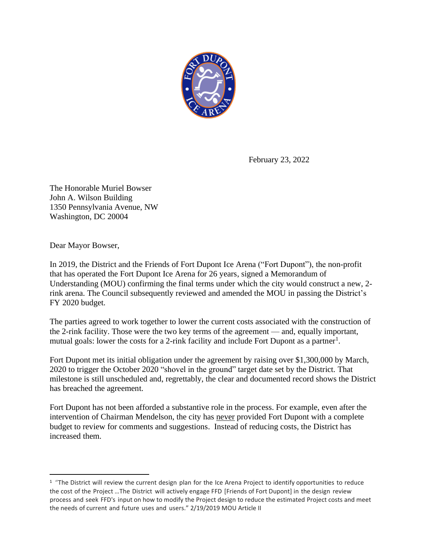

February 23, 2022

The Honorable Muriel Bowser John A. Wilson Building 1350 Pennsylvania Avenue, NW Washington, DC 20004

Dear Mayor Bowser,

In 2019, the District and the Friends of Fort Dupont Ice Arena ("Fort Dupont"), the non-profit that has operated the Fort Dupont Ice Arena for 26 years, signed a Memorandum of Understanding (MOU) confirming the final terms under which the city would construct a new, 2 rink arena. The Council subsequently reviewed and amended the MOU in passing the District's FY 2020 budget.

The parties agreed to work together to lower the current costs associated with the construction of the 2-rink facility. Those were the two key terms of the agreement — and, equally important, mutual goals: lower the costs for a 2-rink facility and include Fort Dupont as a partner<sup>1</sup>.

Fort Dupont met its initial obligation under the agreement by raising over \$1,300,000 by March, 2020 to trigger the October 2020 "shovel in the ground" target date set by the District. That milestone is still unscheduled and, regrettably, the clear and documented record shows the District has breached the agreement.

Fort Dupont has not been afforded a substantive role in the process. For example, even after the intervention of Chairman Mendelson, the city has never provided Fort Dupont with a complete budget to review for comments and suggestions. Instead of reducing costs, the District has increased them.

 $1$  "The District will review the current design plan for the Ice Arena Project to identify opportunities to reduce the cost of the Project …The District will actively engage FFD [Friends of Fort Dupont] in the design review process and seek FFD's input on how to modify the Project design to reduce the estimated Project costs and meet the needs of current and future uses and users." 2/19/2019 MOU Article II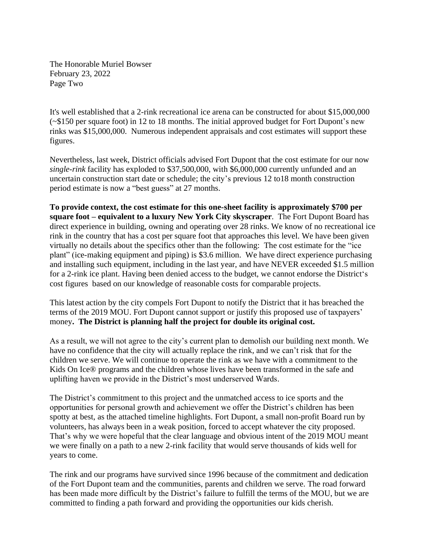The Honorable Muriel Bowser February 23, 2022 Page Two

It's well established that a 2-rink recreational ice arena can be constructed for about \$15,000,000 (~\$150 per square foot) in 12 to 18 months. The initial approved budget for Fort Dupont's new rinks was \$15,000,000. Numerous independent appraisals and cost estimates will support these figures.

Nevertheless, last week, District officials advised Fort Dupont that the cost estimate for our now *single-rink* facility has exploded to \$37,500,000, with \$6,000,000 currently unfunded and an uncertain construction start date or schedule; the city's previous 12 to18 month construction period estimate is now a "best guess" at 27 months.

**To provide context, the cost estimate for this one-sheet facility is approximately \$700 per square foot – equivalent to a luxury New York City skyscraper**. The Fort Dupont Board has direct experience in building, owning and operating over 28 rinks. We know of no recreational ice rink in the country that has a cost per square foot that approaches this level. We have been given virtually no details about the specifics other than the following: The cost estimate for the "ice plant" (ice-making equipment and piping) is \$3.6 million. We have direct experience purchasing and installing such equipment, including in the last year, and have NEVER exceeded \$1.5 million for a 2-rink ice plant. Having been denied access to the budget, we cannot endorse the District's cost figures based on our knowledge of reasonable costs for comparable projects.

This latest action by the city compels Fort Dupont to notify the District that it has breached the terms of the 2019 MOU. Fort Dupont cannot support or justify this proposed use of taxpayers' money**. The District is planning half the project for double its original cost.**

As a result, we will not agree to the city's current plan to demolish our building next month. We have no confidence that the city will actually replace the rink, and we can't risk that for the children we serve. We will continue to operate the rink as we have with a commitment to the Kids On Ice® programs and the children whose lives have been transformed in the safe and uplifting haven we provide in the District's most underserved Wards.

The District's commitment to this project and the unmatched access to ice sports and the opportunities for personal growth and achievement we offer the District's children has been spotty at best, as the attached timeline highlights. Fort Dupont, a small non-profit Board run by volunteers, has always been in a weak position, forced to accept whatever the city proposed. That's why we were hopeful that the clear language and obvious intent of the 2019 MOU meant we were finally on a path to a new 2-rink facility that would serve thousands of kids well for years to come.

The rink and our programs have survived since 1996 because of the commitment and dedication of the Fort Dupont team and the communities, parents and children we serve. The road forward has been made more difficult by the District's failure to fulfill the terms of the MOU, but we are committed to finding a path forward and providing the opportunities our kids cherish.